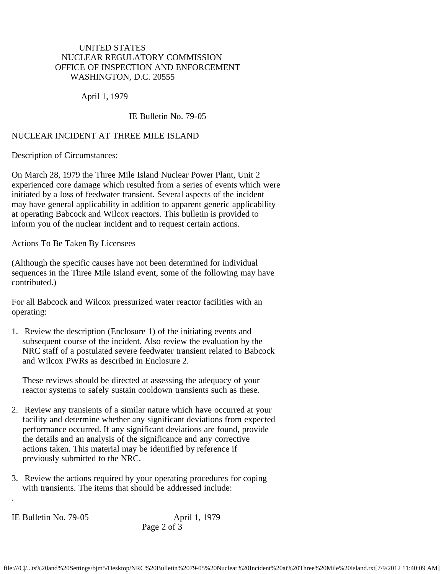## UNITED STATES NUCLEAR REGULATORY COMMISSION OFFICE OF INSPECTION AND ENFORCEMENT WASHINGTON, D.C. 20555

April 1, 1979

## IE Bulletin No. 79-05

## NUCLEAR INCIDENT AT THREE MILE ISLAND

Description of Circumstances:

On March 28, 1979 the Three Mile Island Nuclear Power Plant, Unit 2 experienced core damage which resulted from a series of events which were initiated by a loss of feedwater transient. Several aspects of the incident may have general applicability in addition to apparent generic applicability at operating Babcock and Wilcox reactors. This bulletin is provided to inform you of the nuclear incident and to request certain actions.

Actions To Be Taken By Licensees

(Although the specific causes have not been determined for individual sequences in the Three Mile Island event, some of the following may have contributed.)

For all Babcock and Wilcox pressurized water reactor facilities with an operating:

1. Review the description (Enclosure 1) of the initiating events and subsequent course of the incident. Also review the evaluation by the NRC staff of a postulated severe feedwater transient related to Babcock and Wilcox PWRs as described in Enclosure 2.

 These reviews should be directed at assessing the adequacy of your reactor systems to safely sustain cooldown transients such as these.

- 2. Review any transients of a similar nature which have occurred at your facility and determine whether any significant deviations from expected performance occurred. If any significant deviations are found, provide the details and an analysis of the significance and any corrective actions taken. This material may be identified by reference if previously submitted to the NRC.
- 3. Review the actions required by your operating procedures for coping with transients. The items that should be addressed include:

IE Bulletin No. 79-05 April 1, 1979

.

Page 2 of 3